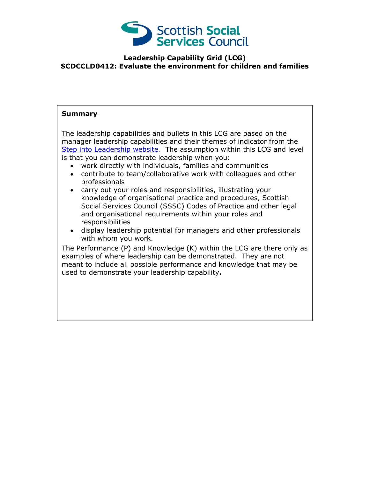

## **Leadership Capability Grid (LCG) SCDCCLD0412: Evaluate the environment for children and families**

## **Summary**

The leadership capabilities and bullets in this LCG are based on the manager leadership capabilities and their themes of indicator from the [Step into Leadership website.](http://www.stepintoleadership.info/) The assumption within this LCG and level is that you can demonstrate leadership when you:

- work directly with individuals, families and communities
- contribute to team/collaborative work with colleagues and other professionals
- carry out your roles and responsibilities, illustrating your knowledge of organisational practice and procedures, Scottish Social Services Council (SSSC) Codes of Practice and other legal and organisational requirements within your roles and responsibilities
- display leadership potential for managers and other professionals with whom you work.

The Performance (P) and Knowledge (K) within the LCG are there only as examples of where leadership can be demonstrated. They are not meant to include all possible performance and knowledge that may be used to demonstrate your leadership capability**.**